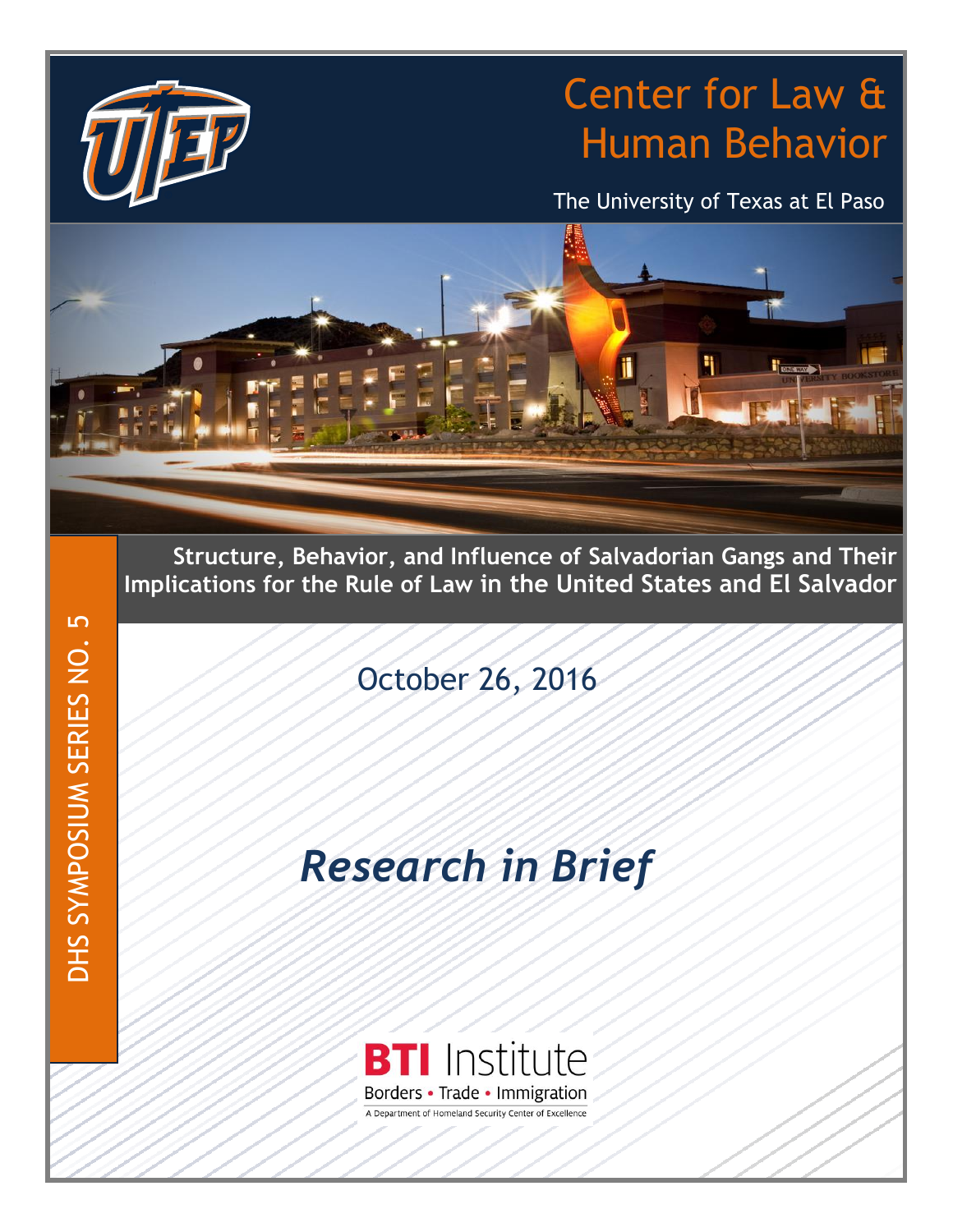# Center for Law & Human Behavior

The University of Texas at El Paso



**Structure, Behavior, and Influence of Salvadorian Gangs and Their Implications for the Rule of Law in the United States and El Salvador**

October 26, 2016

# *Research in Brief*



DHS SYMPOSIUM SERIES NO. 5 DHS SYMPOSIUM SERIES NO. 5

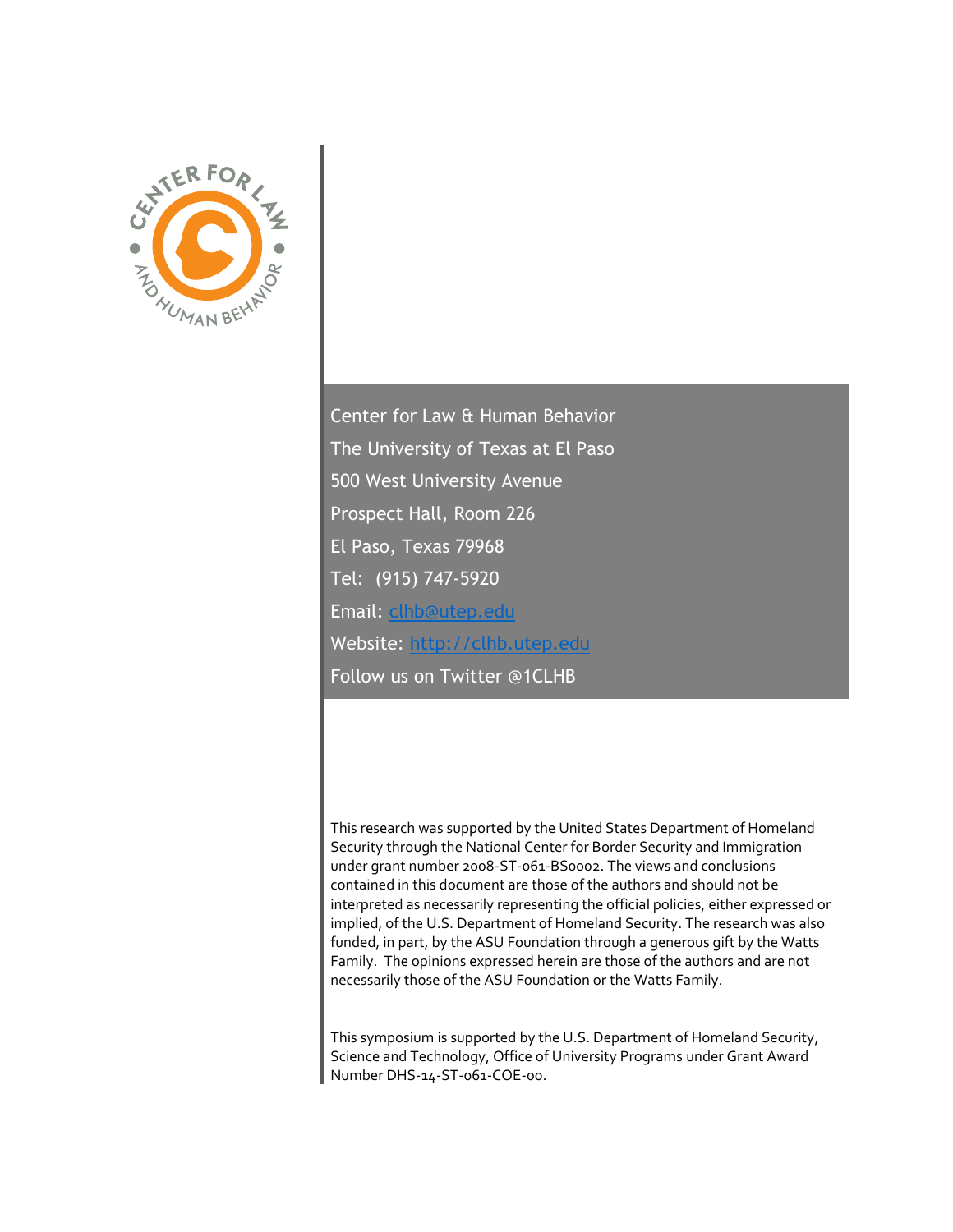

Center for Law & Human Behavior The University of Texas at El Paso 500 West University Avenue Prospect Hall, Room 226 El Paso, Texas 79968 Tel: (915) 747-5920 Email: [clhb@utep.edu](mailto:clhb@utep.edu) Website: [http://clhb.utep.edu](http://clhb.utep.edu/) Follow us on Twitter @1CLHB

This research was supported by the United States Department of Homeland Security through the National Center for Border Security and Immigration under grant number 2008-ST-061-BS0002. The views and conclusions contained in this document are those of the authors and should not be interpreted as necessarily representing the official policies, either expressed or implied, of the U.S. Department of Homeland Security. The research was also funded, in part, by the ASU Foundation through a generous gift by the Watts Family. The opinions expressed herein are those of the authors and are not necessarily those of the ASU Foundation or the Watts Family.

This symposium is supported by the U.S. Department of Homeland Security, Science and Technology, Office of University Programs under Grant Award Number DHS-14-ST-061-COE-00.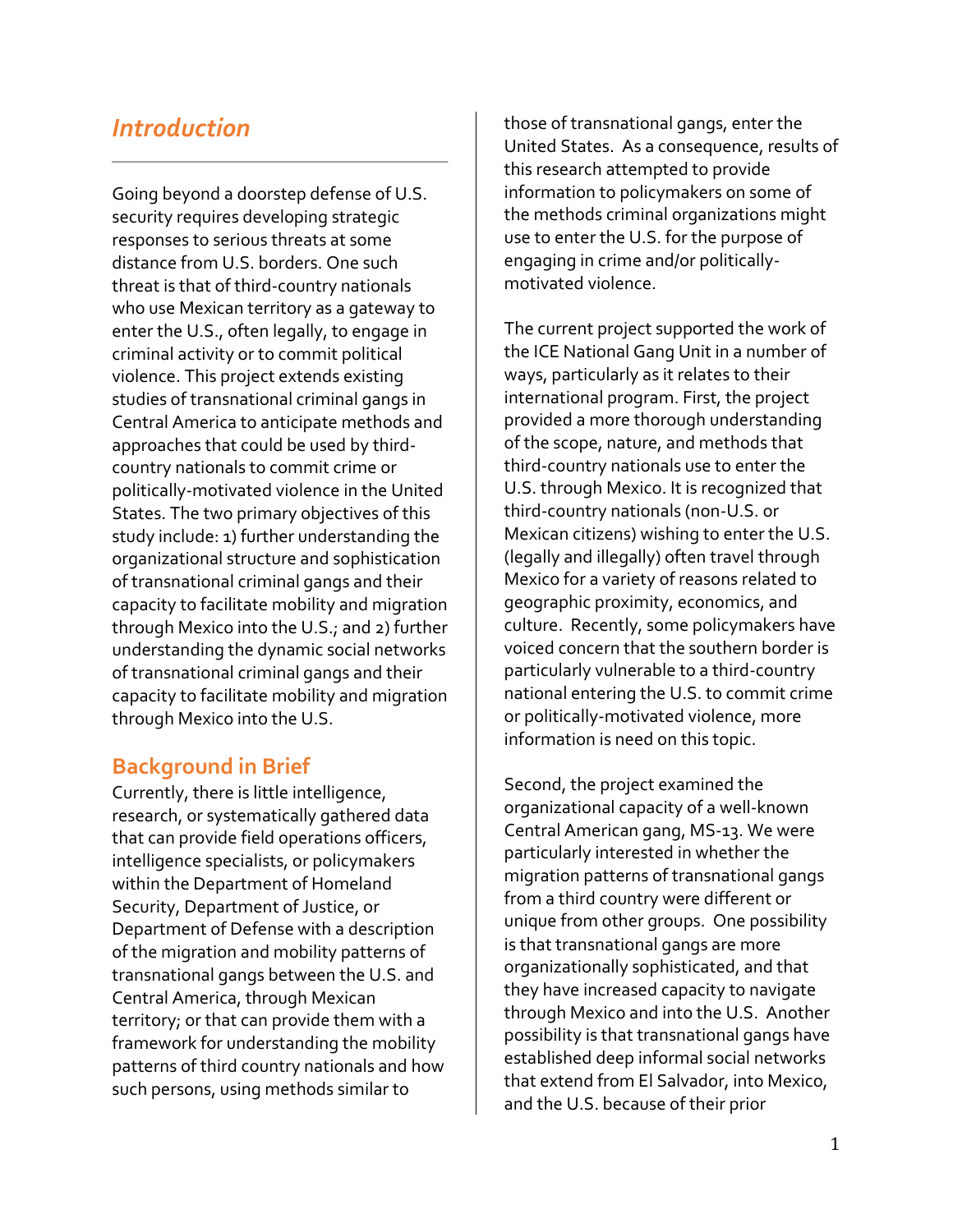# *Introduction*

Going beyond a doorstep defense of U.S. security requires developing strategic responses to serious threats at some distance from U.S. borders. One such threat is that of third-country nationals who use Mexican territory as a gateway to enter the U.S., often legally, to engage in criminal activity or to commit political violence. This project extends existing studies of transnational criminal gangs in Central America to anticipate methods and approaches that could be used by thirdcountry nationals to commit crime or politically-motivated violence in the United States. The two primary objectives of this study include: 1) further understanding the organizational structure and sophistication of transnational criminal gangs and their capacity to facilitate mobility and migration through Mexico into the U.S.; and 2) further understanding the dynamic social networks of transnational criminal gangs and their capacity to facilitate mobility and migration through Mexico into the U.S.

## **Background in Brief**

Currently, there is little intelligence, research, or systematically gathered data that can provide field operations officers, intelligence specialists, or policymakers within the Department of Homeland Security, Department of Justice, or Department of Defense with a description of the migration and mobility patterns of transnational gangs between the U.S. and Central America, through Mexican territory; or that can provide them with a framework for understanding the mobility patterns of third country nationals and how such persons, using methods similar to

those of transnational gangs, enter the United States. As a consequence, results of this research attempted to provide information to policymakers on some of the methods criminal organizations might use to enter the U.S. for the purpose of engaging in crime and/or politicallymotivated violence.

The current project supported the work of the ICE National Gang Unit in a number of ways, particularly as it relates to their international program. First, the project provided a more thorough understanding of the scope, nature, and methods that third-country nationals use to enter the U.S. through Mexico. It is recognized that third-country nationals (non-U.S. or Mexican citizens) wishing to enter the U.S. (legally and illegally) often travel through Mexico for a variety of reasons related to geographic proximity, economics, and culture. Recently, some policymakers have voiced concern that the southern border is particularly vulnerable to a third-country national entering the U.S. to commit crime or politically-motivated violence, more information is need on this topic.

Second, the project examined the organizational capacity of a well-known Central American gang, MS-13. We were particularly interested in whether the migration patterns of transnational gangs from a third country were different or unique from other groups. One possibility is that transnational gangs are more organizationally sophisticated, and that they have increased capacity to navigate through Mexico and into the U.S. Another possibility is that transnational gangs have established deep informal social networks that extend from El Salvador, into Mexico, and the U.S. because of their prior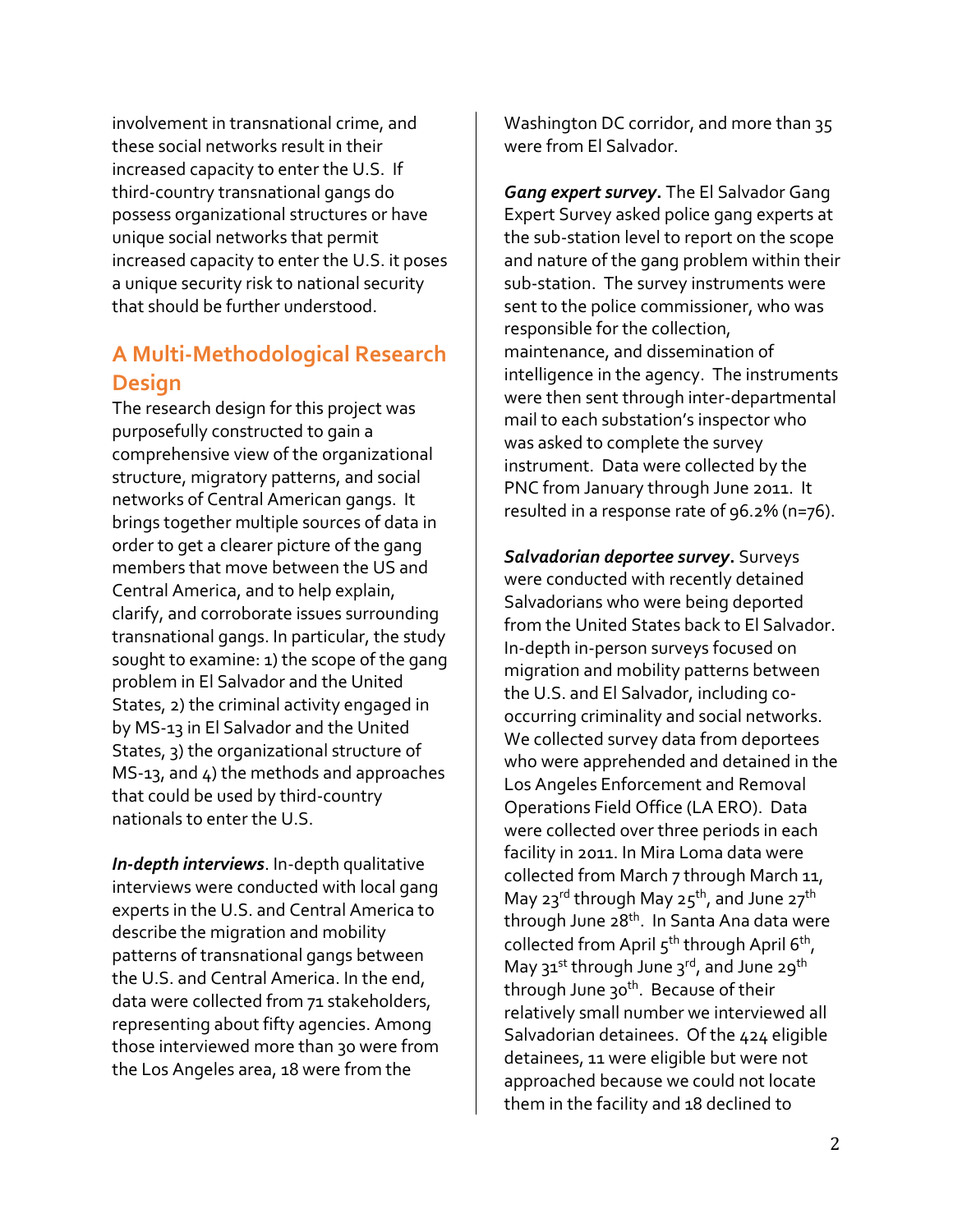involvement in transnational crime, and these social networks result in their increased capacity to enter the U.S. If third-country transnational gangs do possess organizational structures or have unique social networks that permit increased capacity to enter the U.S. it poses a unique security risk to national security that should be further understood.

# **A Multi-Methodological Research Design**

The research design for this project was purposefully constructed to gain a comprehensive view of the organizational structure, migratory patterns, and social networks of Central American gangs. It brings together multiple sources of data in order to get a clearer picture of the gang members that move between the US and Central America, and to help explain, clarify, and corroborate issues surrounding transnational gangs. In particular, the study sought to examine: 1) the scope of the gang problem in El Salvador and the United States, 2) the criminal activity engaged in by MS-13 in El Salvador and the United States, 3) the organizational structure of MS-13, and 4) the methods and approaches that could be used by third-country nationals to enter the U.S.

*In-depth interviews*. In-depth qualitative interviews were conducted with local gang experts in the U.S. and Central America to describe the migration and mobility patterns of transnational gangs between the U.S. and Central America. In the end, data were collected from 71 stakeholders, representing about fifty agencies. Among those interviewed more than 30 were from the Los Angeles area, 18 were from the

Washington DC corridor, and more than 35 were from El Salvador.

*Gang expert survey***.** The El Salvador Gang Expert Survey asked police gang experts at the sub-station level to report on the scope and nature of the gang problem within their sub-station. The survey instruments were sent to the police commissioner, who was responsible for the collection, maintenance, and dissemination of intelligence in the agency. The instruments were then sent through inter-departmental mail to each substation's inspector who was asked to complete the survey instrument. Data were collected by the PNC from January through June 2011. It resulted in a response rate of 96.2% (n=76).

*Salvadorian deportee survey***.** Surveys were conducted with recently detained Salvadorians who were being deported from the United States back to El Salvador. In-depth in-person surveys focused on migration and mobility patterns between the U.S. and El Salvador, including cooccurring criminality and social networks. We collected survey data from deportees who were apprehended and detained in the Los Angeles Enforcement and Removal Operations Field Office (LA ERO). Data were collected over three periods in each facility in 2011. In Mira Loma data were collected from March 7 through March 11, May 23<sup>rd</sup> through May 25<sup>th</sup>, and June 27<sup>th</sup> through June 28<sup>th</sup>. In Santa Ana data were collected from April 5<sup>th</sup> through April 6<sup>th</sup>, May  $31^{st}$  through June  $3^{rd}$ , and June  $29^{th}$ through June 30<sup>th</sup>. Because of their relatively small number we interviewed all Salvadorian detainees. Of the 424 eligible detainees, 11 were eligible but were not approached because we could not locate them in the facility and 18 declined to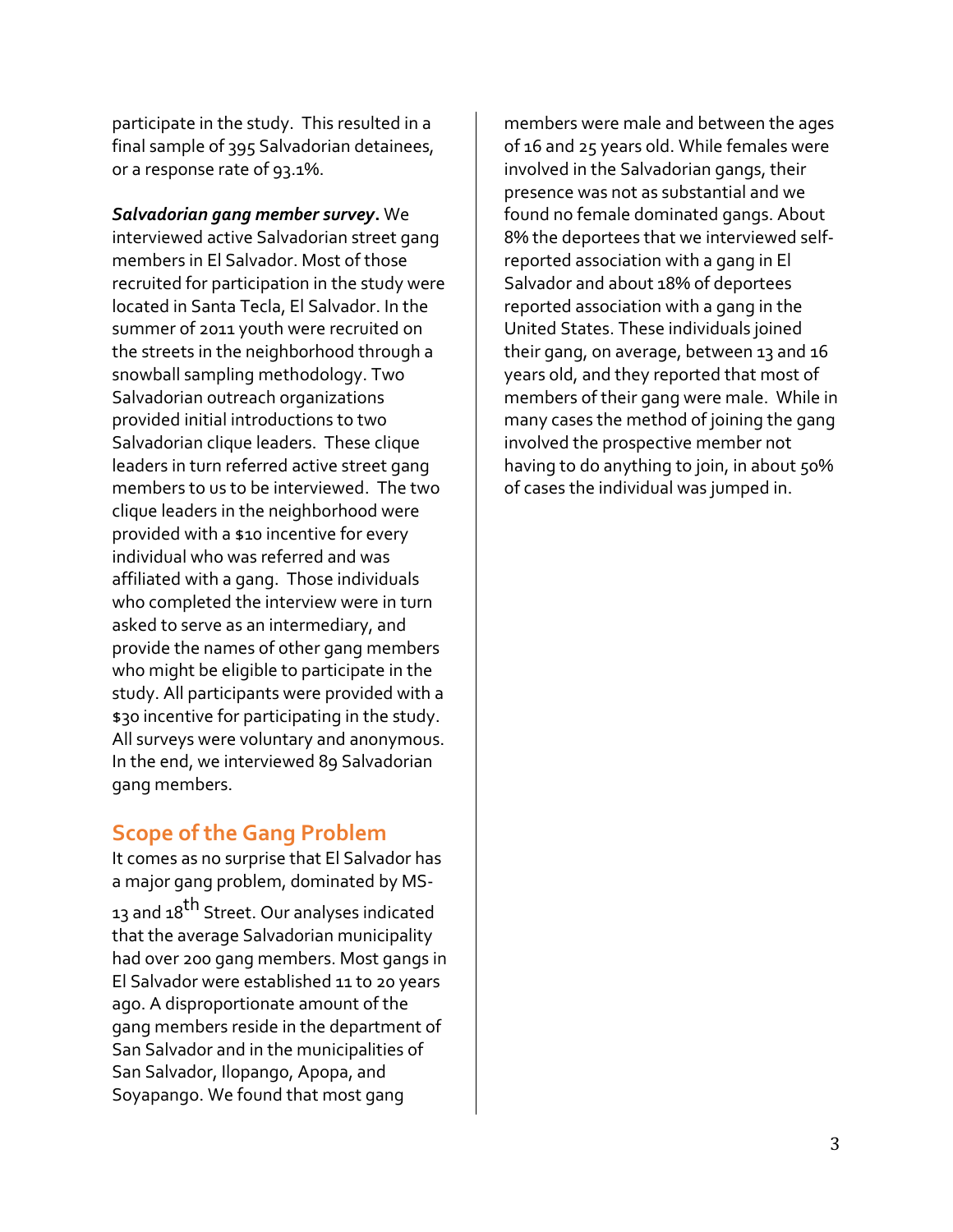participate in the study. This resulted in a final sample of 395 Salvadorian detainees, or a response rate of 93.1%.

*Salvadorian gang member survey***.** We interviewed active Salvadorian street gang members in El Salvador. Most of those recruited for participation in the study were located in Santa Tecla, El Salvador. In the summer of 2011 youth were recruited on the streets in the neighborhood through a snowball sampling methodology. Two Salvadorian outreach organizations provided initial introductions to two Salvadorian clique leaders. These clique leaders in turn referred active street gang members to us to be interviewed. The two clique leaders in the neighborhood were provided with a \$10 incentive for every individual who was referred and was affiliated with a gang. Those individuals who completed the interview were in turn asked to serve as an intermediary, and provide the names of other gang members who might be eligible to participate in the study. All participants were provided with a \$30 incentive for participating in the study. All surveys were voluntary and anonymous. In the end, we interviewed 89 Salvadorian gang members.

## **Scope of the Gang Problem**

It comes as no surprise that El Salvador has a major gang problem, dominated by MS-13 and 18<sup>th</sup> Street. Our analyses indicated that the average Salvadorian municipality had over 200 gang members. Most gangs in El Salvador were established 11 to 20 years ago. A disproportionate amount of the gang members reside in the department of San Salvador and in the municipalities of San Salvador, Ilopango, Apopa, and Soyapango. We found that most gang

members were male and between the ages of 16 and 25 years old. While females were involved in the Salvadorian gangs, their presence was not as substantial and we found no female dominated gangs. About 8% the deportees that we interviewed selfreported association with a gang in El Salvador and about 18% of deportees reported association with a gang in the United States. These individuals joined their gang, on average, between 13 and 16 years old, and they reported that most of members of their gang were male. While in many cases the method of joining the gang involved the prospective member not having to do anything to join, in about 50% of cases the individual was jumped in.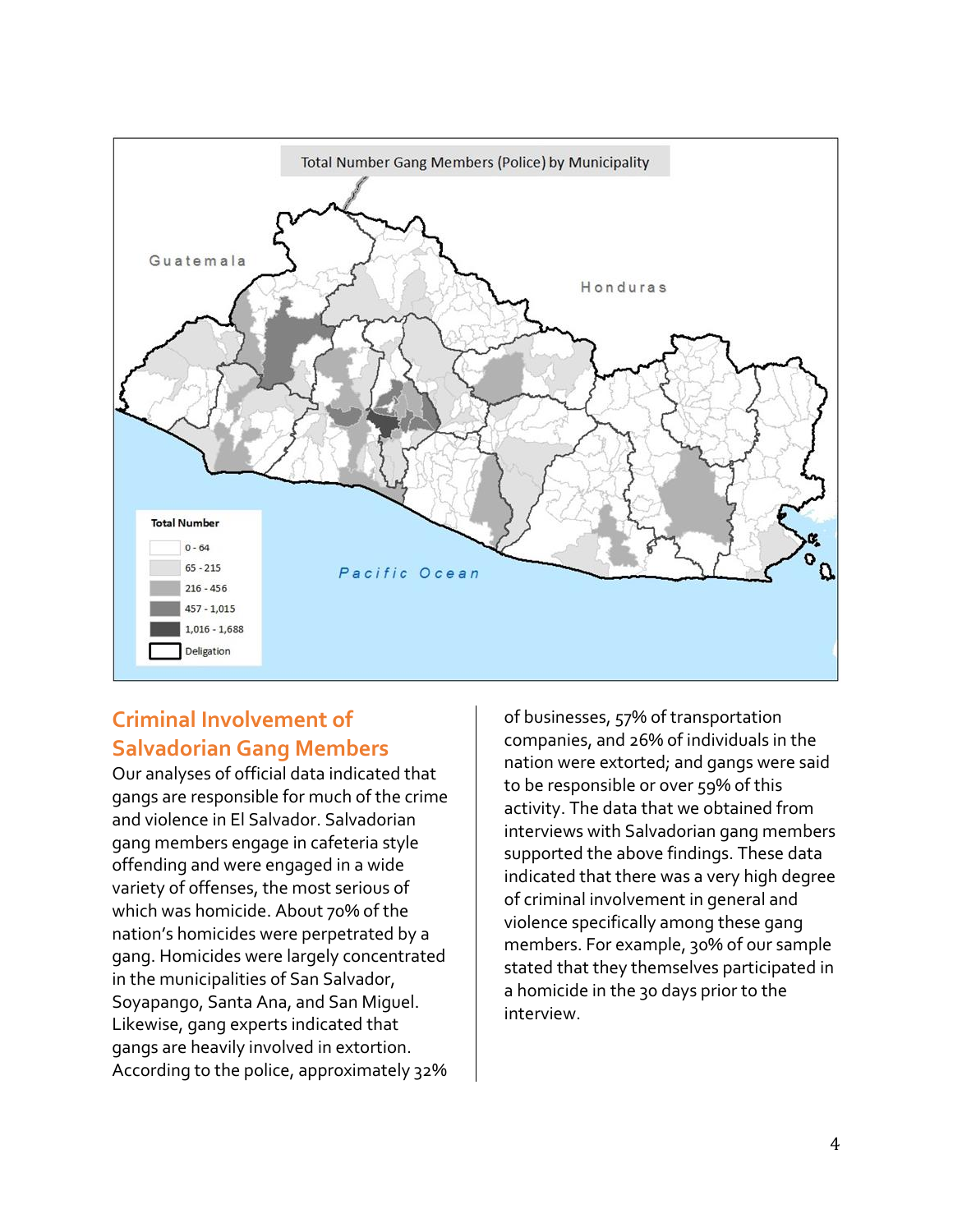

# **Criminal Involvement of Salvadorian Gang Members**

Our analyses of official data indicated that gangs are responsible for much of the crime and violence in El Salvador. Salvadorian gang members engage in cafeteria style offending and were engaged in a wide variety of offenses, the most serious of which was homicide. About 70% of the nation's homicides were perpetrated by a gang. Homicides were largely concentrated in the municipalities of San Salvador, Soyapango, Santa Ana, and San Miguel. Likewise, gang experts indicated that gangs are heavily involved in extortion. According to the police, approximately 32%

of businesses, 57% of transportation companies, and 26% of individuals in the nation were extorted; and gangs were said to be responsible or over 59% of this activity. The data that we obtained from interviews with Salvadorian gang members supported the above findings. These data indicated that there was a very high degree of criminal involvement in general and violence specifically among these gang members. For example, 30% of our sample stated that they themselves participated in a homicide in the 30 days prior to the interview.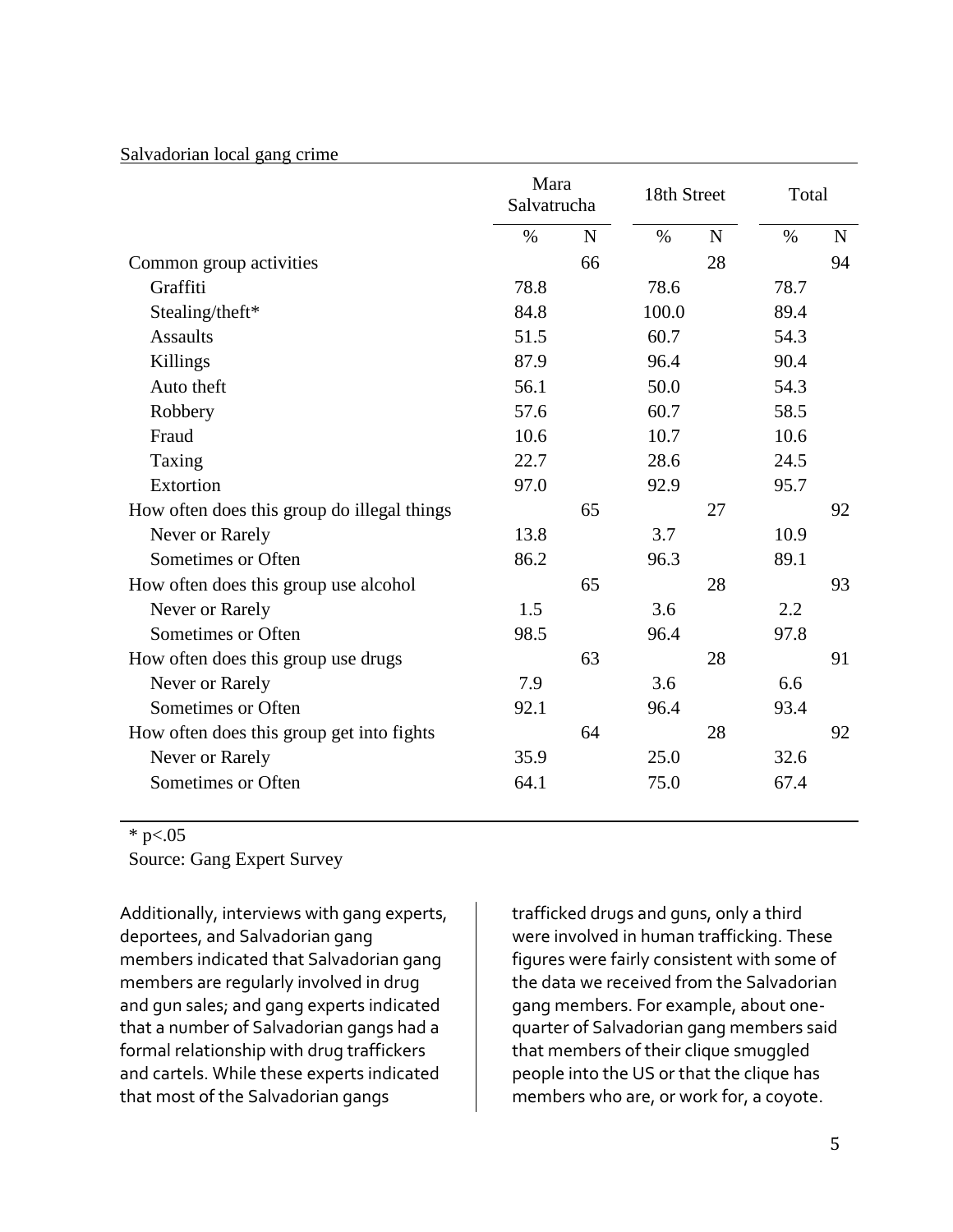#### Salvadorian local gang crime

|                                             | Mara<br>Salvatrucha |             | 18th Street |             | Total |             |
|---------------------------------------------|---------------------|-------------|-------------|-------------|-------|-------------|
|                                             | $\%$                | $\mathbf N$ | $\%$        | $\mathbf N$ | $\%$  | $\mathbf N$ |
| Common group activities                     |                     | 66          |             | 28          |       | 94          |
| Graffiti                                    | 78.8                |             | 78.6        |             | 78.7  |             |
| Stealing/theft*                             | 84.8                |             | 100.0       |             | 89.4  |             |
| <b>Assaults</b>                             | 51.5                |             | 60.7        |             | 54.3  |             |
| Killings                                    | 87.9                |             | 96.4        |             | 90.4  |             |
| Auto theft                                  | 56.1                |             | 50.0        |             | 54.3  |             |
| Robbery                                     | 57.6                |             | 60.7        |             | 58.5  |             |
| Fraud                                       | 10.6                |             | 10.7        |             | 10.6  |             |
| Taxing                                      | 22.7                |             | 28.6        |             | 24.5  |             |
| Extortion                                   | 97.0                |             | 92.9        |             | 95.7  |             |
| How often does this group do illegal things |                     | 65          |             | 27          |       | 92          |
| Never or Rarely                             | 13.8                |             | 3.7         |             | 10.9  |             |
| Sometimes or Often                          | 86.2                |             | 96.3        |             | 89.1  |             |
| How often does this group use alcohol       |                     | 65          |             | 28          |       | 93          |
| Never or Rarely                             | 1.5                 |             | 3.6         |             | 2.2   |             |
| Sometimes or Often                          | 98.5                |             | 96.4        |             | 97.8  |             |
| How often does this group use drugs         |                     | 63          |             | 28          |       | 91          |
| Never or Rarely                             | 7.9                 |             | 3.6         |             | 6.6   |             |
| Sometimes or Often                          | 92.1                |             | 96.4        |             | 93.4  |             |
| How often does this group get into fights   |                     | 64          |             | 28          |       | 92          |
| Never or Rarely                             | 35.9                |             | 25.0        |             | 32.6  |             |
| Sometimes or Often                          | 64.1                |             | 75.0        |             | 67.4  |             |

 $*$  p $< 0.05$ 

Source: Gang Expert Survey

Additionally, interviews with gang experts, deportees, and Salvadorian gang members indicated that Salvadorian gang members are regularly involved in drug and gun sales; and gang experts indicated that a number of Salvadorian gangs had a formal relationship with drug traffickers and cartels. While these experts indicated that most of the Salvadorian gangs

trafficked drugs and guns, only a third were involved in human trafficking. These figures were fairly consistent with some of the data we received from the Salvadorian gang members. For example, about onequarter of Salvadorian gang members said that members of their clique smuggled people into the US or that the clique has members who are, or work for, a coyote.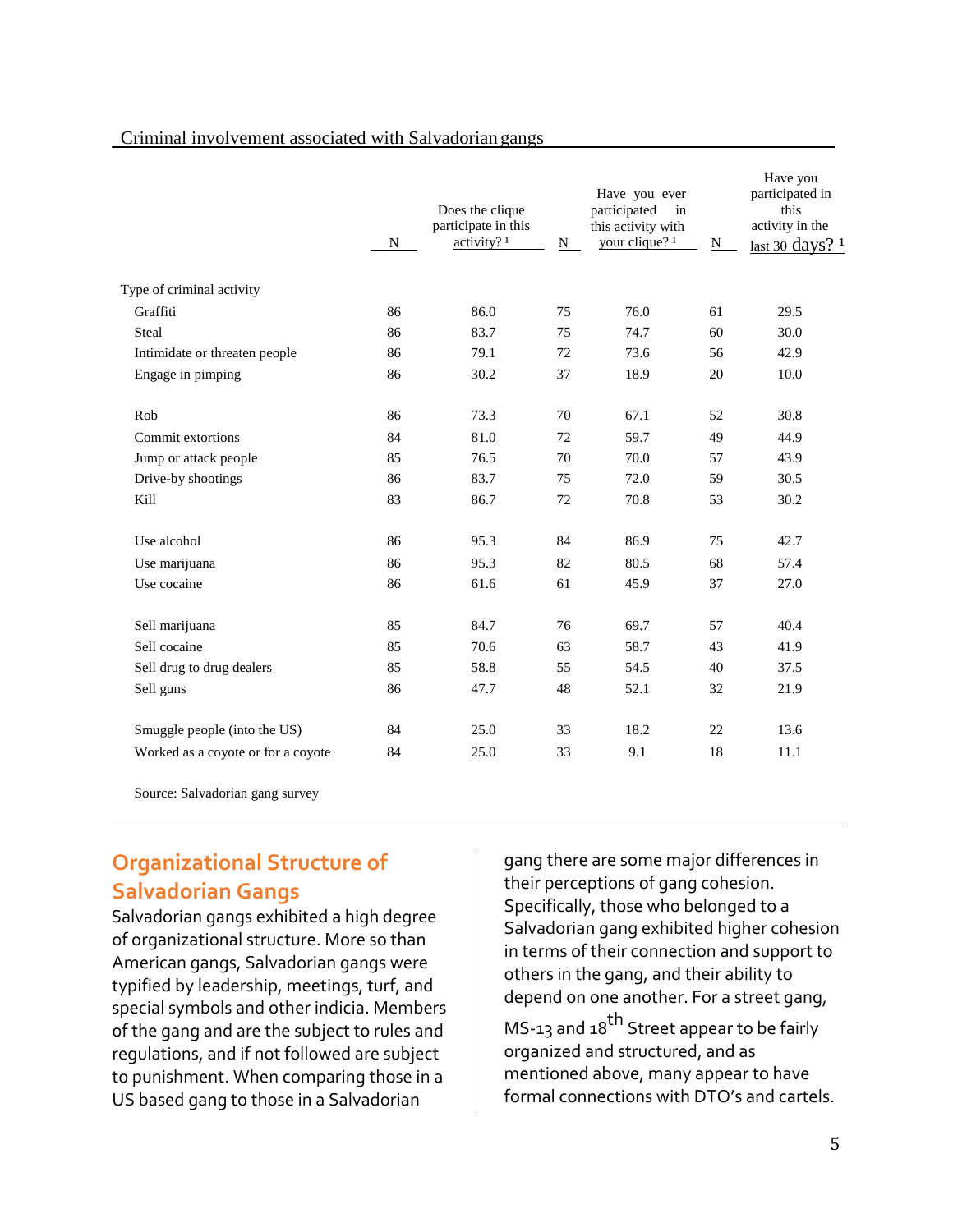#### Criminal involvement associated with Salvadorian gangs

|                                    | $N_{\odot}$ | Does the clique<br>participate in this<br>activity? <sup>1</sup> | N - | Have you ever<br>participated<br>in<br>this activity with<br>your clique? <sup>1</sup> | N = | Have you<br>participated in<br>this<br>activity in the<br>last 30 days? $1$ |
|------------------------------------|-------------|------------------------------------------------------------------|-----|----------------------------------------------------------------------------------------|-----|-----------------------------------------------------------------------------|
| Type of criminal activity          |             |                                                                  |     |                                                                                        |     |                                                                             |
| Graffiti                           | 86          | 86.0                                                             | 75  | 76.0                                                                                   | 61  | 29.5                                                                        |
| Steal                              | 86          | 83.7                                                             | 75  | 74.7                                                                                   | 60  | 30.0                                                                        |
| Intimidate or threaten people      | 86          | 79.1                                                             | 72  | 73.6                                                                                   | 56  | 42.9                                                                        |
| Engage in pimping                  | 86          | 30.2                                                             | 37  | 18.9                                                                                   | 20  | 10.0                                                                        |
| Rob                                | 86          | 73.3                                                             | 70  | 67.1                                                                                   | 52  | 30.8                                                                        |
| Commit extortions                  | 84          | 81.0                                                             | 72  | 59.7                                                                                   | 49  | 44.9                                                                        |
| Jump or attack people              | 85          | 76.5                                                             | 70  | 70.0                                                                                   | 57  | 43.9                                                                        |
| Drive-by shootings                 | 86          | 83.7                                                             | 75  | 72.0                                                                                   | 59  | 30.5                                                                        |
| Kill                               | 83          | 86.7                                                             | 72  | 70.8                                                                                   | 53  | 30.2                                                                        |
| Use alcohol                        | 86          | 95.3                                                             | 84  | 86.9                                                                                   | 75  | 42.7                                                                        |
| Use marijuana                      | 86          | 95.3                                                             | 82  | 80.5                                                                                   | 68  | 57.4                                                                        |
| Use cocaine                        | 86          | 61.6                                                             | 61  | 45.9                                                                                   | 37  | 27.0                                                                        |
| Sell marijuana                     | 85          | 84.7                                                             | 76  | 69.7                                                                                   | 57  | 40.4                                                                        |
| Sell cocaine                       | 85          | 70.6                                                             | 63  | 58.7                                                                                   | 43  | 41.9                                                                        |
| Sell drug to drug dealers          | 85          | 58.8                                                             | 55  | 54.5                                                                                   | 40  | 37.5                                                                        |
| Sell guns                          | 86          | 47.7                                                             | 48  | 52.1                                                                                   | 32  | 21.9                                                                        |
| Smuggle people (into the US)       | 84          | 25.0                                                             | 33  | 18.2                                                                                   | 22  | 13.6                                                                        |
| Worked as a coyote or for a coyote | 84          | 25.0                                                             | 33  | 9.1                                                                                    | 18  | 11.1                                                                        |

Source: Salvadorian gang survey

## **Organizational Structure of Salvadorian Gangs**

Salvadorian gangs exhibited a high degree of organizational structure. More so than American gangs, Salvadorian gangs were typified by leadership, meetings, turf, and special symbols and other indicia. Members of the gang and are the subject to rules and regulations, and if not followed are subject to punishment. When comparing those in a US based gang to those in a Salvadorian

gang there are some major differences in their perceptions of gang cohesion. Specifically, those who belonged to a Salvadorian gang exhibited higher cohesion in terms of their connection and support to others in the gang, and their ability to depend on one another. For a street gang, MS-13 and  $18<sup>th</sup>$  Street appear to be fairly organized and structured, and as mentioned above, many appear to have formal connections with DTO's and cartels.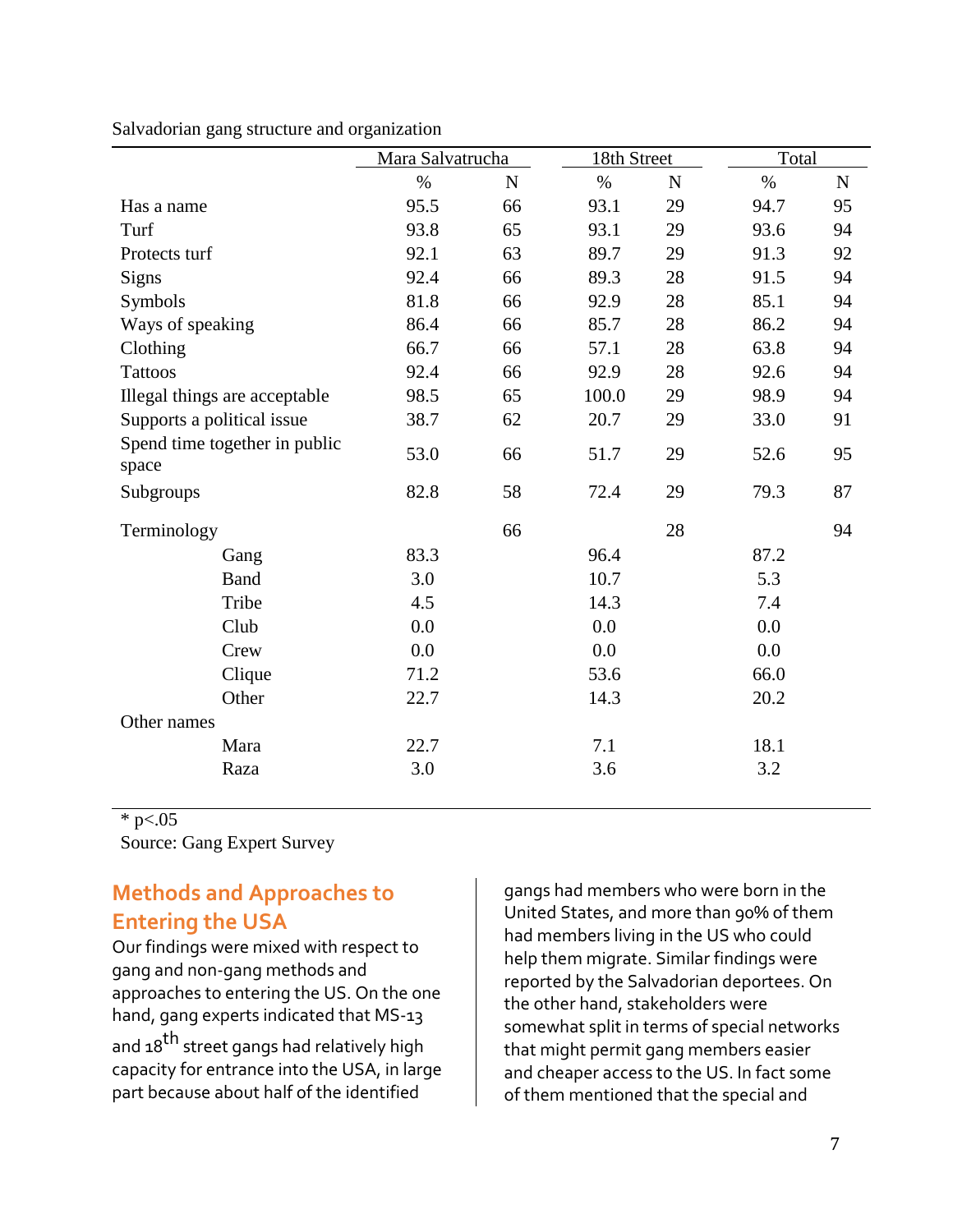|                                        | Mara Salvatrucha |              | 18th Street |             | Total |             |
|----------------------------------------|------------------|--------------|-------------|-------------|-------|-------------|
|                                        | $\%$             | $\mathbf N$  | $\%$        | $\mathbf N$ | $\%$  | $\mathbf N$ |
| Has a name                             | 95.5             | 66           | 93.1        | 29          | 94.7  | 95          |
| Turf                                   | 93.8             | 65           | 93.1        | 29          | 93.6  | 94          |
| Protects turf                          | 92.1             | 63           | 89.7        | 29          | 91.3  | 92          |
| <b>Signs</b>                           | 92.4             | 66           | 89.3        | 28          | 91.5  | 94          |
| Symbols                                | 81.8             | 66           | 92.9        | 28          | 85.1  | 94          |
| Ways of speaking                       | 86.4             | 66           | 85.7        | 28          | 86.2  | 94          |
| Clothing                               | 66.7             | 66           | 57.1        | 28          | 63.8  | 94          |
| <b>Tattoos</b>                         | 92.4             | 66           | 92.9        | 28          | 92.6  | 94          |
| Illegal things are acceptable          | 98.5             | 65           | 100.0       | 29          | 98.9  | 94          |
| Supports a political issue             | 38.7             | 62           | 20.7        | 29          | 33.0  | 91          |
| Spend time together in public<br>space | 53.0             | 66           | 51.7        | 29          | 52.6  | 95          |
| Subgroups                              | 82.8             | 58           | 72.4        | 29          | 79.3  | 87          |
| Terminology                            |                  | 66           |             | 28          |       | 94          |
| Gang                                   | 83.3             |              | 96.4        |             | 87.2  |             |
| <b>Band</b>                            | 3.0              |              | 10.7<br>5.3 |             |       |             |
| Tribe                                  | 4.5              |              | 14.3        |             | 7.4   |             |
| Club                                   | 0.0              | 0.0          |             | 0.0         |       |             |
| Crew                                   | 0.0              | 0.0          |             |             | 0.0   |             |
| Clique                                 | 71.2             | 53.6<br>66.0 |             |             |       |             |
| Other                                  | 22.7             | 14.3         |             |             |       |             |
| Other names                            |                  |              |             |             |       |             |
| Mara                                   | 22.7             | 7.1          |             | 18.1        |       |             |
| Raza                                   | 3.0              |              | 3.6         |             | 3.2   |             |

#### Salvadorian gang structure and organization

\* p $< 0.05$ 

Source: Gang Expert Survey

# **Methods and Approaches to Entering the USA**

Our findings were mixed with respect to gang and non-gang methods and approaches to entering the US. On the one hand, gang experts indicated that MS-13 and 18<sup>th</sup> street gangs had relatively high capacity for entrance into the USA, in large part because about half of the identified

gangs had members who were born in the United States, and more than 90% of them had members living in the US who could help them migrate. Similar findings were reported by the Salvadorian deportees. On the other hand, stakeholders were somewhat split in terms of special networks that might permit gang members easier and cheaper access to the US. In fact some of them mentioned that the special and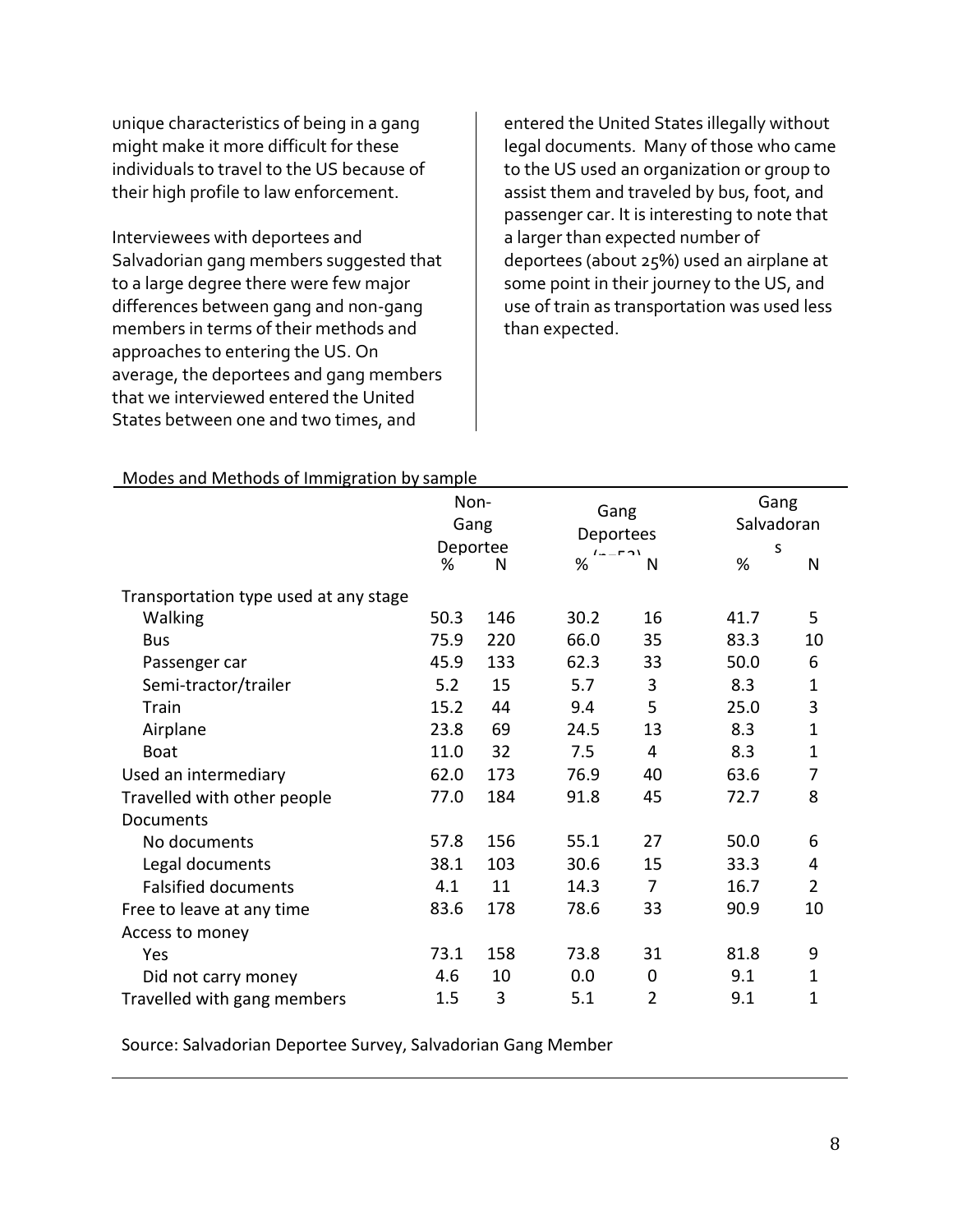unique characteristics of being in a gang might make it more difficult for these individuals to travel to the US because of their high profile to law enforcement.

Interviewees with deportees and Salvadorian gang members suggested that to a large degree there were few major differences between gang and non-gang members in terms of their methods and approaches to entering the US. On average, the deportees and gang members that we interviewed entered the United States between one and two times, and

entered the United States illegally without legal documents. Many of those who came to the US used an organization or group to assist them and traveled by bus, foot, and passenger car. It is interesting to note that a larger than expected number of deportees (about 25%) used an airplane at some point in their journey to the US, and use of train as transportation was used less than expected.

|                                       | Non-<br>Gang<br>Deportee |     |                              | Gang<br>Deportees |      | Gang<br>Salvadoran |
|---------------------------------------|--------------------------|-----|------------------------------|-------------------|------|--------------------|
|                                       |                          |     | $\mathbf{I}$ .<br>$F \cap V$ |                   | S    |                    |
|                                       | ℅                        | N   | %                            | N                 | %    | N                  |
| Transportation type used at any stage |                          |     |                              |                   |      |                    |
| Walking                               | 50.3                     | 146 | 30.2                         | 16                | 41.7 | 5                  |
| <b>Bus</b>                            | 75.9                     | 220 | 66.0                         | 35                | 83.3 | 10                 |
| Passenger car                         | 45.9                     | 133 | 62.3                         | 33                | 50.0 | 6                  |
| Semi-tractor/trailer                  | 5.2                      | 15  | 5.7                          | 3                 | 8.3  | $\mathbf{1}$       |
| Train                                 | 15.2                     | 44  | 9.4                          | 5                 | 25.0 | 3                  |
| Airplane                              | 23.8                     | 69  | 24.5                         | 13                | 8.3  | $\mathbf{1}$       |
| <b>Boat</b>                           | 11.0                     | 32  | 7.5                          | 4                 | 8.3  | $\mathbf{1}$       |
| Used an intermediary                  | 62.0                     | 173 | 76.9                         | 40                | 63.6 | 7                  |
| Travelled with other people           | 77.0                     | 184 | 91.8                         | 45                | 72.7 | 8                  |
| Documents                             |                          |     |                              |                   |      |                    |
| No documents                          | 57.8                     | 156 | 55.1                         | 27                | 50.0 | 6                  |
| Legal documents                       | 38.1                     | 103 | 30.6                         | 15                | 33.3 | 4                  |
| <b>Falsified documents</b>            | 4.1                      | 11  | 14.3                         | $\overline{7}$    | 16.7 | $\overline{2}$     |
| Free to leave at any time             | 83.6                     | 178 | 78.6                         | 33                | 90.9 | 10                 |
| Access to money                       |                          |     |                              |                   |      |                    |
| Yes                                   | 73.1                     | 158 | 73.8                         | 31                | 81.8 | 9                  |
| Did not carry money                   | 4.6                      | 10  | 0.0                          | 0                 | 9.1  | $\mathbf 1$        |
| Travelled with gang members           | 1.5                      | 3   | 5.1                          | 2                 | 9.1  | $\mathbf 1$        |

#### Modes and Methods of Immigration by sample

Source: Salvadorian Deportee Survey, Salvadorian Gang Member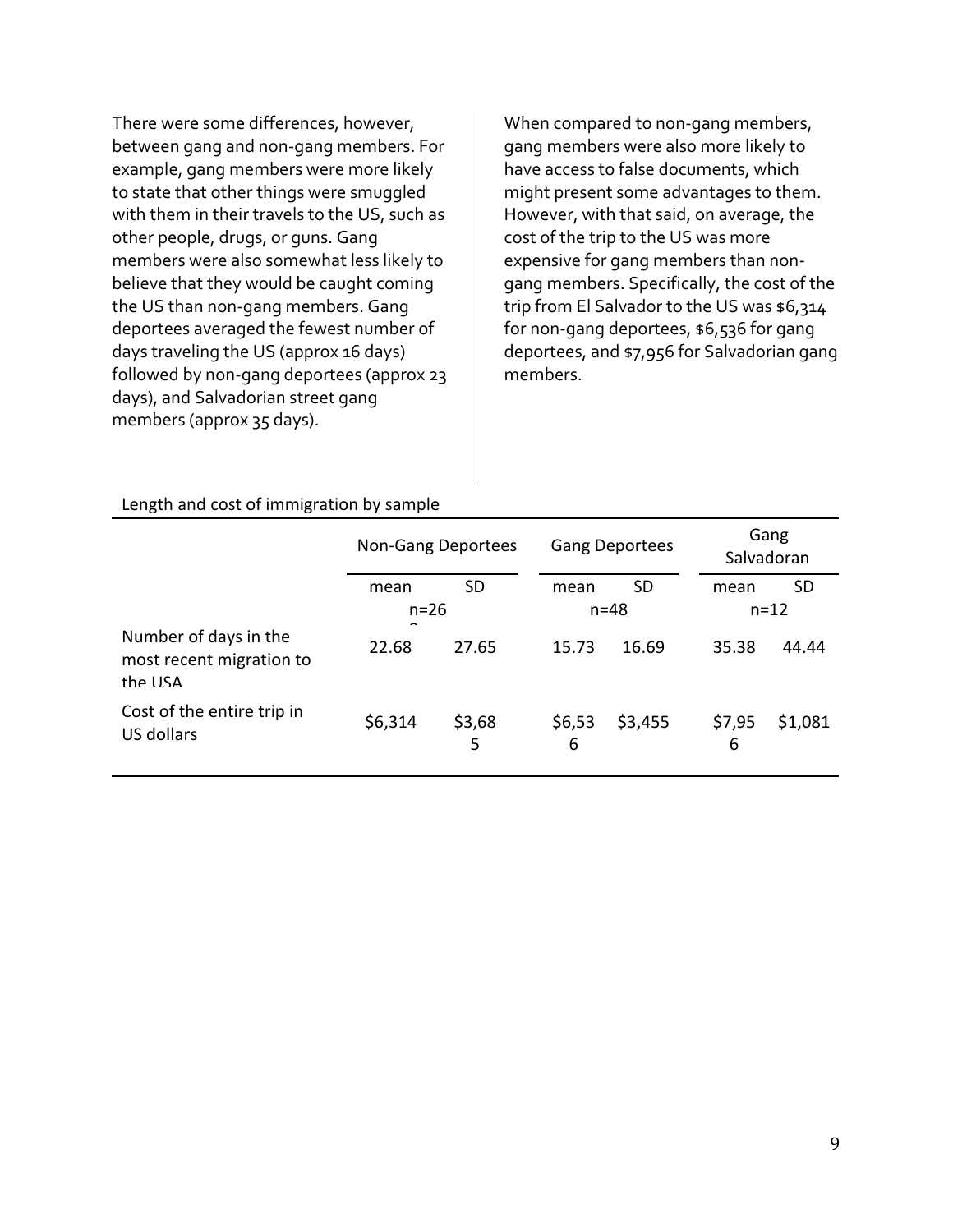There were some differences, however, between gang and non-gang members. For example, gang members were more likely to state that other things were smuggled with them in their travels to the US, such as other people, drugs, or guns. Gang members were also somewhat less likely to believe that they would be caught coming the US than non-gang members. Gang deportees averaged the fewest number of days traveling the US (approx 16 days) followed by non-gang deportees (approx 23 days), and Salvadorian street gang members (approx 35 days).

When compared to non-gang members, gang members were also more likely to have access to false documents, which might present some advantages to them. However, with that said, on average, the cost of the trip to the US was more expensive for gang members than nongang members. Specifically, the cost of the trip from El Salvador to the US was \$6,314 for non-gang deportees, \$6,536 for gang deportees, and \$7,956 for Salvadorian gang members.

| Length and cost of immigration by sample |
|------------------------------------------|
|                                          |

|                                                              | Non-Gang Deportees            |             | <b>Gang Deportees</b> |           | Gang<br>Salvadoran |          |
|--------------------------------------------------------------|-------------------------------|-------------|-----------------------|-----------|--------------------|----------|
|                                                              | <b>SD</b><br>mean<br>$n = 26$ |             | mean                  | <b>SD</b> | mean               | SD       |
|                                                              |                               |             | $n = 48$              |           |                    | $n = 12$ |
| Number of days in the<br>most recent migration to<br>the USA | 22.68                         | 27.65       | 15.73                 | 16.69     | 35.38              | 44.44    |
| Cost of the entire trip in<br>US dollars                     | \$6,314                       | \$3,68<br>5 | \$6,53<br>6           | \$3,455   | \$7,95<br>6        | \$1,081  |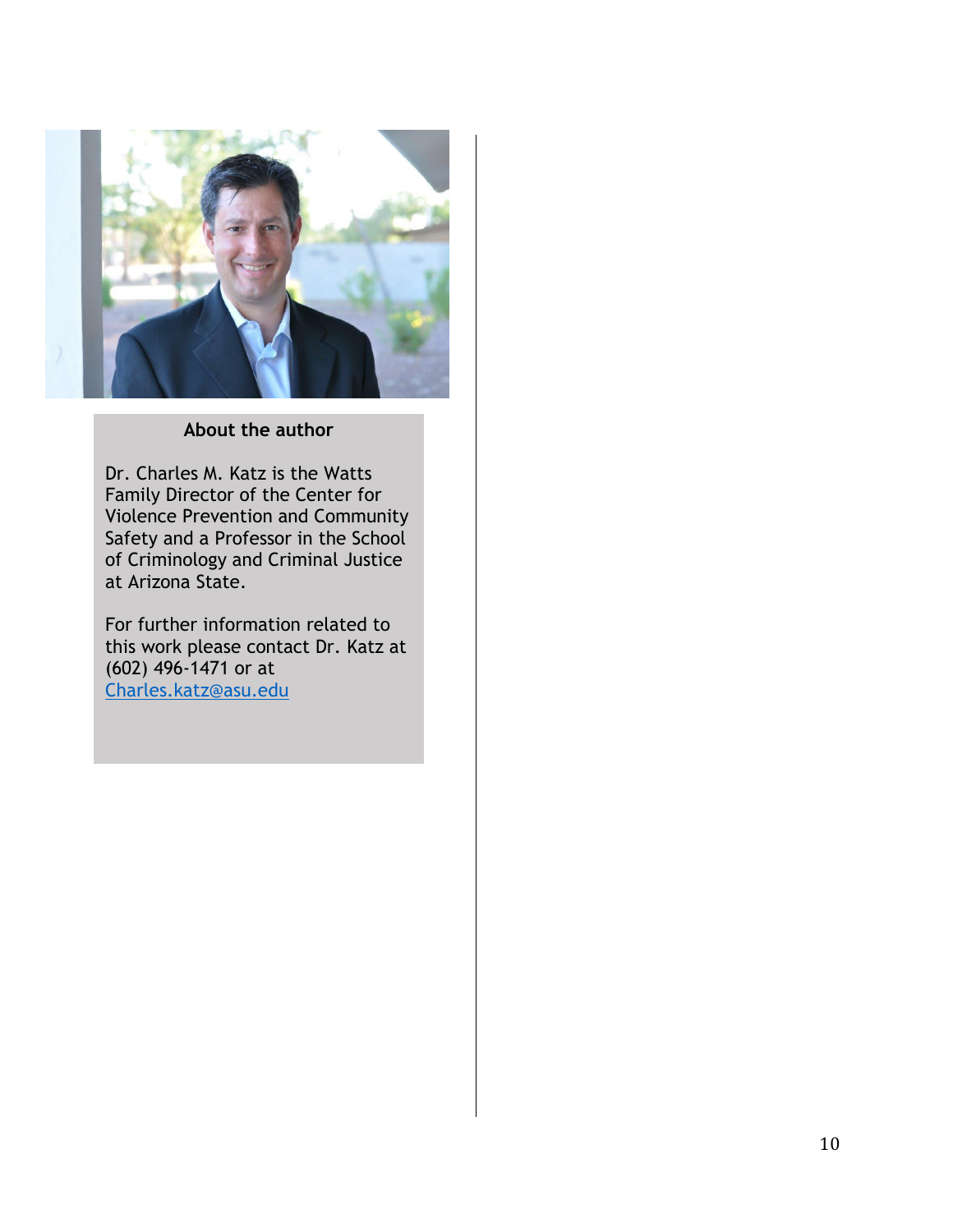

#### **About the author**

Dr. Charles M. Katz is the Watts Family Director of the Center for Violence Prevention and Community Safety and a Professor in the School of Criminology and Criminal Justice at Arizona State.

For further information related to this work please contact Dr. Katz at (602) 496-1471 or at [Charles.katz@asu.edu](mailto:Charles.katz@asu.edu)